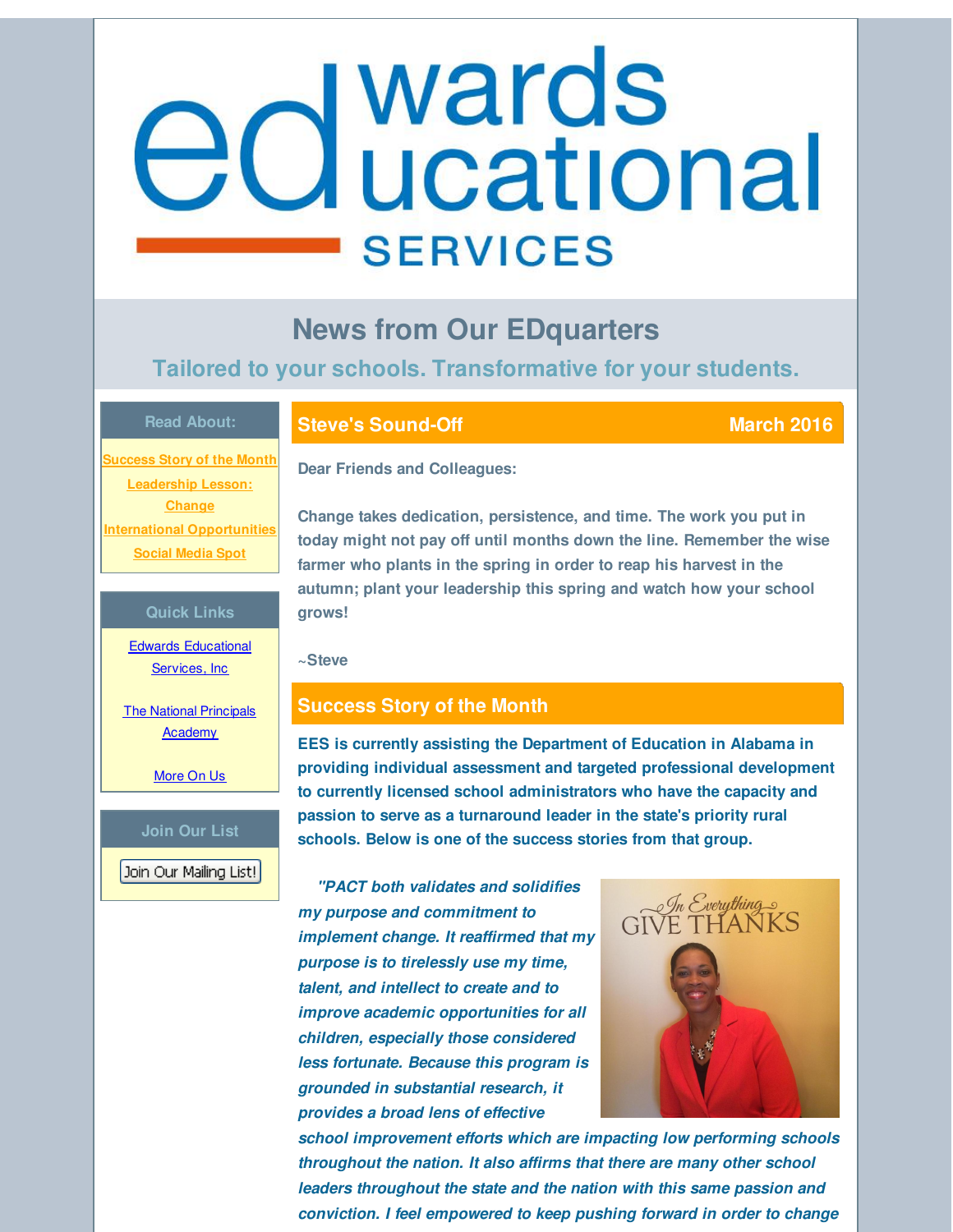# <span id="page-0-0"></span>edwards **SERVICES**

# **News from Our EDquarters**

# **Tailored to your schools. Transformative for your students.**

#### **Read About:**

**[Success](#page-0-0) Story of the Month [Leadership](#page-0-0) Lesson: Change International [Opportunities](#page-0-0) [Social](#page-0-0) Media Spot**

#### **Quick Links**

Edwards [Educational](http://r20.rs6.net/tn.jsp?f=001y1ltD-1ldJDzDiVwNHG-Es5HooYJqU2RTJRjSvwn_LiyjeQXwVNZuDDNRK-agKZCooorl3CWEiWI-zo8XkGEMfaFgzzAxBraUCsmoA3ZcvJ30grJGwyJ3oeWmBr9WFb7zPmDhgjGZ7UIY8YhtVLPJnuysQAA3boOOOXb65RD68RGIh65-7VCdQ==&c=&ch=) Services, Inc.

**The National [Principals](http://r20.rs6.net/tn.jsp?f=001y1ltD-1ldJDzDiVwNHG-Es5HooYJqU2RTJRjSvwn_LiyjeQXwVNZuF1S5yZzpjVlVKRVJayvdUtXIZSq0upGQB05v2Y8CjMx-gEvXXjhPaRl_HCquBRHn_29Yi0__2eJeSACm4DQxrzkdDsjcTWtYxHCeaeVGWO3OZpH1UCiTwhrYiAdO5GUFUG5KW9rbjQ2&c=&ch=) Academy** 

[More](http://r20.rs6.net/tn.jsp?f=001y1ltD-1ldJDzDiVwNHG-Es5HooYJqU2RTJRjSvwn_LiyjeQXwVNZuD9vHTFdbm_0UtgqNrqK8y6Hk7rQg59gX44fbLVAckvEiJ_iWtQAwCszIpSRtGBLWzpdawsHElSXyx4LRqYgimg1Y67ZJMeXlAcfLMSkBX9Fka7odBg7gWJH4biZSA4wk-yMYO5eYu4z&c=&ch=) On Us

#### **Join Our List**

Join Our Mailing List!

## **Steve's Sound-Off March March March 2016**

**Dear Friends and Colleagues:**

**Change takes dedication, persistence, and time. The work you put in today might not pay off until months down the line. Remember the wise farmer who plants in the spring in order to reap his harvest in the autumn; plant your leadership this spring and watch how your school grows!**

**~Steve**

# **Success Story of the Month**

**EES is currently assisting the Department of Education in Alabama in providing individual assessment and targeted professional development to currently licensed school administrators who have the capacity and passion to serve as a turnaround leader in the state's priority rural schools. Below is one of the success stories from that group.**

*"PACT both validates and solidifies my purpose and commitment to implement change. It reaffirmed that my purpose is to tirelessly use my time, talent, and intellect to create and to improve academic opportunities for all children, especially those considered less fortunate. Because this program is grounded in substantial research, it provides a broad lens of effective*



*school improvement efforts which are impacting low performing schools throughout the nation. It also affirms that there are many other school leaders throughout the state and the nation with this same passion and conviction. I feel empowered to keep pushing forward in order to change*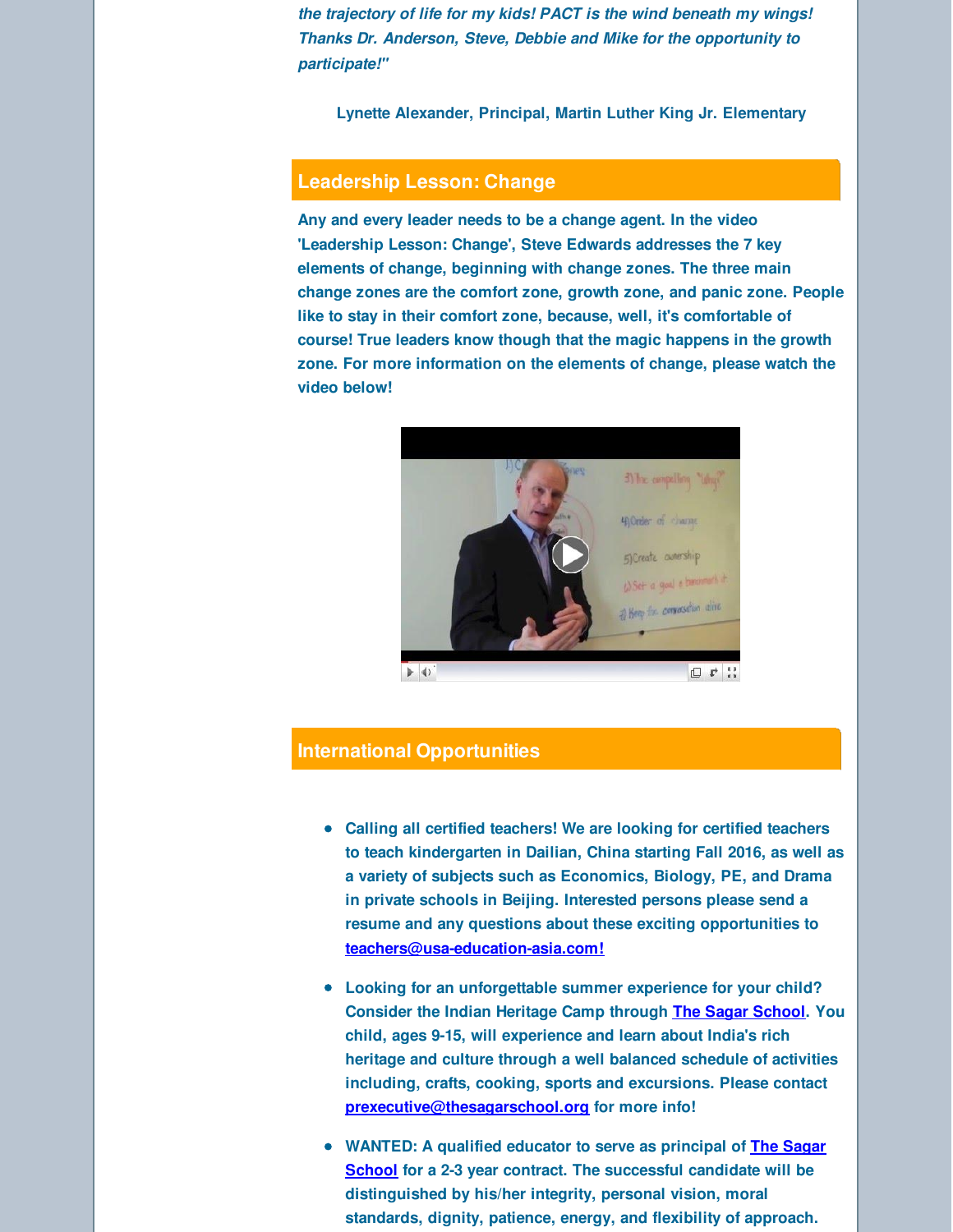*the trajectory of life for my kids! PACT is the wind beneath my wings! Thanks Dr. Anderson, Steve, Debbie and Mike for the opportunity to participate!"*

**Lynette Alexander, Principal, Martin Luther King Jr. Elementary**

### **Leadership Lesson: Change**

**Any and every leader needs to be a change agent. In the video 'Leadership Lesson: Change', Steve Edwards addresses the 7 key elements of change, beginning with change zones. The three main change zones are the comfort zone, growth zone, and panic zone. People like to stay in their comfort zone, because, well, it's comfortable of course! True leaders know though that the magic happens in the growth zone. For more information on the elements of change, please watch the video below!**



#### **International Opportunities**

- **Calling all certified teachers! We are looking for certified teachers to teach kindergarten in Dailian, China starting Fall 2016, as well as a variety of subjects such as Economics, Biology, PE, and Drama in private schools in Beijing. Interested persons please send a resume and any questions about these exciting opportunities to [teachers@usa-education-asia.com!](mailto:teachers@usa-education-asia.com)**
- **Looking for an unforgettable summer experience for your child? Consider the Indian Heritage Camp through The Sagar [School](http://r20.rs6.net/tn.jsp?f=001y1ltD-1ldJDzDiVwNHG-Es5HooYJqU2RTJRjSvwn_LiyjeQXwVNZuLNmxKCbhyur1i9sklGqjtIwAh8DSOtrHQNZiBKPjiZefHV_5swjsHLj_yA26nKzaPUetzYOvDxw9iHW3N5BK6xOQY-ebRlgWXq2nSt8Y7GqsRoVwxC68j-wdT5FAOA-tA==&c=&ch=). You child, ages 9-15, will experience and learn about India's rich heritage and culture through a well balanced schedule of activities including, crafts, cooking, sports and excursions. Please contact [prexecutive@thesagarschool.org](mailto:prexecutive@thesagarschool.org) for more info!**
- **WANTED: A qualified educator to serve as principal of The Sagar School for a 2-3 year contract. The [successful](http://r20.rs6.net/tn.jsp?f=001y1ltD-1ldJDzDiVwNHG-Es5HooYJqU2RTJRjSvwn_LiyjeQXwVNZuLNmxKCbhyur1i9sklGqjtIwAh8DSOtrHQNZiBKPjiZefHV_5swjsHLj_yA26nKzaPUetzYOvDxw9iHW3N5BK6xOQY-ebRlgWXq2nSt8Y7GqsRoVwxC68j-wdT5FAOA-tA==&c=&ch=) candidate will be distinguished by his/her integrity, personal vision, moral standards, dignity, patience, energy, and flexibility of approach.**